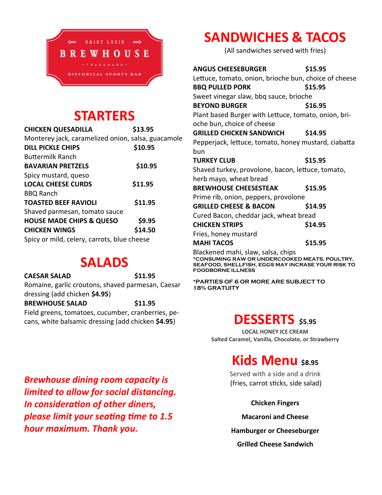

## **STARTERS**

**CHICKEN QUESADILLA \$13.95**

| \$13.95 |  |
|---------|--|
|         |  |

| Monterey jack, caramelized onion, salsa, guacamole |         |
|----------------------------------------------------|---------|
| <b>DILL PICKLE CHIPS</b>                           | \$10.95 |
| <b>Buttermilk Ranch</b>                            |         |
| <b>BAVARIAN PRETZELS</b>                           | \$10.95 |
| Spicy mustard, queso                               |         |
| <b>LOCAL CHEESE CURDS</b>                          | \$11.95 |
| <b>BBQ Ranch</b>                                   |         |
| <b>TOASTED BEEF RAVIOLI</b>                        | \$11.95 |
| Shaved parmesan, tomato sauce                      |         |
| <b>HOUSE MADE CHIPS &amp; QUESO</b>                | \$9.95  |
| <b>CHICKEN WINGS</b>                               | \$14.50 |
| Spicy or mild, celery, carrots, blue cheese        |         |

### **SALADS**

**CAESAR SALAD \$11.95** Romaine, garlic croutons, shaved parmesan, Caesar dressing (add chicken **\$4.95**) **BREWHOUSE SALAD \$11.95** Field greens, tomatoes, cucumber, cranberries, pecans, white balsamic dressing (add chicken **\$4.95**)

# **SANDWICHES & TACOS**

(All sandwiches served with fries)

| ANGUS CHEESEBURGER                                                                  | \$15.95 |  |  |  |
|-------------------------------------------------------------------------------------|---------|--|--|--|
| Lettuce, tomato, onion, brioche bun, choice of cheese                               |         |  |  |  |
| <b>BBQ PULLED PORK</b>                                                              | \$15.95 |  |  |  |
| Sweet vinegar slaw, bbq sauce, brioche                                              |         |  |  |  |
| <b>BEYOND BURGER</b>                                                                | \$16.95 |  |  |  |
| Plant based Burger with Lettuce, tomato, onion, bri-                                |         |  |  |  |
| oche bun, choice of cheese                                                          |         |  |  |  |
| <b>GRILLED CHICKEN SANDWICH</b>                                                     | \$14.95 |  |  |  |
| Pepperjack, lettuce, tomato, honey mustard, ciabatta                                |         |  |  |  |
| bun                                                                                 |         |  |  |  |
| <b>TURKEY CLUB</b>                                                                  | \$15.95 |  |  |  |
| Shaved turkey, provolone, bacon, lettuce, tomato,                                   |         |  |  |  |
| herb mayo, wheat bread                                                              |         |  |  |  |
| <b>BREWHOUSE CHEESESTEAK</b>                                                        | \$15.95 |  |  |  |
| Prime rib, onion, peppers, provolone                                                |         |  |  |  |
| <b>GRILLED CHEESE &amp; BACON</b>                                                   | \$14.95 |  |  |  |
| Cured Bacon, cheddar jack, wheat bread                                              |         |  |  |  |
| <b>CHICKEN STRIPS</b>                                                               | \$14.95 |  |  |  |
| Fries, honey mustard                                                                |         |  |  |  |
| <b>MAHI TACOS</b>                                                                   | \$15.95 |  |  |  |
| Blackened mahi, slaw, salsa, chips<br>*CONSUMING RAW OR UNDERCOOKED MEATS, POULTRY, |         |  |  |  |

**SEAFOOD, SHELLFISH, EGGS MAY INCRASE YOUR RISK TO FOODBORNE ILLNESS**

**\*PARTIES OF 6 OR MORE ARE SUBJECT TO 18% GRATUITY**

### **DESSERTS \$5.95**

**LOCAL HONEY ICE CREAM Salted Caramel, Vanilla, Chocolate, or Strawberry**

## **Kids Menu** \$8.95

Served with a side and a drink (fries, carrot sticks, side salad)

**Chicken Fingers**

**Macaroni and Cheese**

**Hamburger or Cheeseburger**

**Grilled Cheese Sandwich**

*Brewhouse dining room capacity is limited to allow for social distancing. In consideration of other diners, please limit your seating time to 1.5 hour maximum. Thank you.*